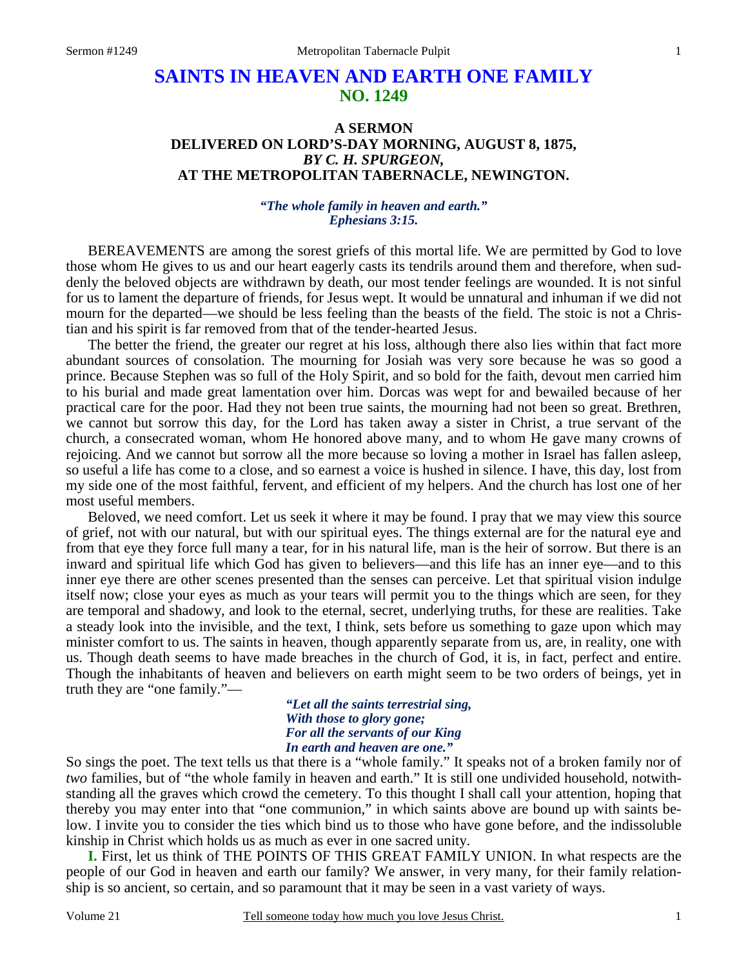# **SAINTS IN HEAVEN AND EARTH ONE FAMILY NO. 1249**

## **A SERMON DELIVERED ON LORD'S-DAY MORNING, AUGUST 8, 1875,**  *BY C. H. SPURGEON,*  **AT THE METROPOLITAN TABERNACLE, NEWINGTON.**

#### *"The whole family in heaven and earth." Ephesians 3:15.*

BEREAVEMENTS are among the sorest griefs of this mortal life. We are permitted by God to love those whom He gives to us and our heart eagerly casts its tendrils around them and therefore, when suddenly the beloved objects are withdrawn by death, our most tender feelings are wounded. It is not sinful for us to lament the departure of friends, for Jesus wept. It would be unnatural and inhuman if we did not mourn for the departed—we should be less feeling than the beasts of the field. The stoic is not a Christian and his spirit is far removed from that of the tender-hearted Jesus.

 The better the friend, the greater our regret at his loss, although there also lies within that fact more abundant sources of consolation. The mourning for Josiah was very sore because he was so good a prince. Because Stephen was so full of the Holy Spirit, and so bold for the faith, devout men carried him to his burial and made great lamentation over him. Dorcas was wept for and bewailed because of her practical care for the poor. Had they not been true saints, the mourning had not been so great. Brethren, we cannot but sorrow this day, for the Lord has taken away a sister in Christ, a true servant of the church, a consecrated woman, whom He honored above many, and to whom He gave many crowns of rejoicing. And we cannot but sorrow all the more because so loving a mother in Israel has fallen asleep, so useful a life has come to a close, and so earnest a voice is hushed in silence. I have, this day, lost from my side one of the most faithful, fervent, and efficient of my helpers. And the church has lost one of her most useful members.

 Beloved, we need comfort. Let us seek it where it may be found. I pray that we may view this source of grief, not with our natural, but with our spiritual eyes. The things external are for the natural eye and from that eye they force full many a tear, for in his natural life, man is the heir of sorrow. But there is an inward and spiritual life which God has given to believers—and this life has an inner eye—and to this inner eye there are other scenes presented than the senses can perceive. Let that spiritual vision indulge itself now; close your eyes as much as your tears will permit you to the things which are seen, for they are temporal and shadowy, and look to the eternal, secret, underlying truths, for these are realities. Take a steady look into the invisible, and the text, I think, sets before us something to gaze upon which may minister comfort to us. The saints in heaven, though apparently separate from us, are, in reality, one with us. Though death seems to have made breaches in the church of God, it is, in fact, perfect and entire. Though the inhabitants of heaven and believers on earth might seem to be two orders of beings, yet in truth they are "one family."—

> *"Let all the saints terrestrial sing, With those to glory gone; For all the servants of our King In earth and heaven are one."*

So sings the poet. The text tells us that there is a "whole family." It speaks not of a broken family nor of *two* families, but of "the whole family in heaven and earth." It is still one undivided household, notwithstanding all the graves which crowd the cemetery. To this thought I shall call your attention, hoping that thereby you may enter into that "one communion," in which saints above are bound up with saints below. I invite you to consider the ties which bind us to those who have gone before, and the indissoluble kinship in Christ which holds us as much as ever in one sacred unity.

**I.** First, let us think of THE POINTS OF THIS GREAT FAMILY UNION. In what respects are the people of our God in heaven and earth our family? We answer, in very many, for their family relationship is so ancient, so certain, and so paramount that it may be seen in a vast variety of ways.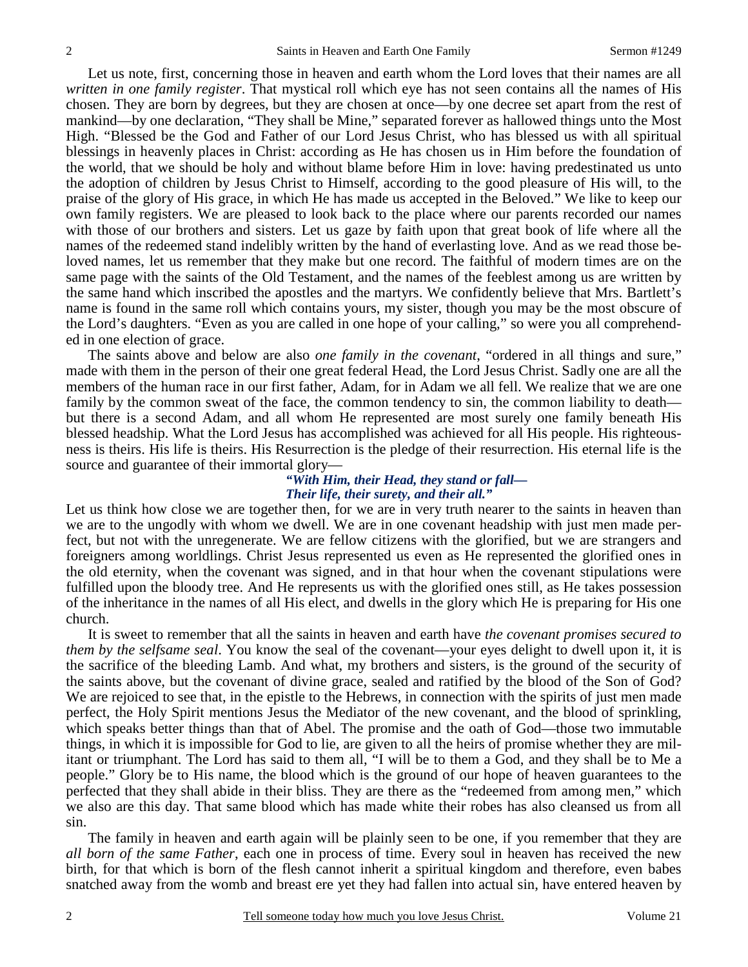Let us note, first, concerning those in heaven and earth whom the Lord loves that their names are all *written in one family register*. That mystical roll which eye has not seen contains all the names of His chosen. They are born by degrees, but they are chosen at once—by one decree set apart from the rest of mankind—by one declaration, "They shall be Mine," separated forever as hallowed things unto the Most High. "Blessed be the God and Father of our Lord Jesus Christ, who has blessed us with all spiritual blessings in heavenly places in Christ: according as He has chosen us in Him before the foundation of the world, that we should be holy and without blame before Him in love: having predestinated us unto the adoption of children by Jesus Christ to Himself, according to the good pleasure of His will, to the praise of the glory of His grace, in which He has made us accepted in the Beloved." We like to keep our own family registers. We are pleased to look back to the place where our parents recorded our names with those of our brothers and sisters. Let us gaze by faith upon that great book of life where all the names of the redeemed stand indelibly written by the hand of everlasting love. And as we read those beloved names, let us remember that they make but one record. The faithful of modern times are on the same page with the saints of the Old Testament, and the names of the feeblest among us are written by the same hand which inscribed the apostles and the martyrs. We confidently believe that Mrs. Bartlett's name is found in the same roll which contains yours, my sister, though you may be the most obscure of the Lord's daughters. "Even as you are called in one hope of your calling," so were you all comprehended in one election of grace.

 The saints above and below are also *one family in the covenant*, "ordered in all things and sure," made with them in the person of their one great federal Head, the Lord Jesus Christ. Sadly one are all the members of the human race in our first father, Adam, for in Adam we all fell. We realize that we are one family by the common sweat of the face, the common tendency to sin, the common liability to death but there is a second Adam, and all whom He represented are most surely one family beneath His blessed headship. What the Lord Jesus has accomplished was achieved for all His people. His righteousness is theirs. His life is theirs. His Resurrection is the pledge of their resurrection. His eternal life is the source and guarantee of their immortal glory—

#### *"With Him, their Head, they stand or fall— Their life, their surety, and their all."*

Let us think how close we are together then, for we are in very truth nearer to the saints in heaven than we are to the ungodly with whom we dwell. We are in one covenant headship with just men made perfect, but not with the unregenerate. We are fellow citizens with the glorified, but we are strangers and foreigners among worldlings. Christ Jesus represented us even as He represented the glorified ones in the old eternity, when the covenant was signed, and in that hour when the covenant stipulations were fulfilled upon the bloody tree. And He represents us with the glorified ones still, as He takes possession of the inheritance in the names of all His elect, and dwells in the glory which He is preparing for His one church.

 It is sweet to remember that all the saints in heaven and earth have *the covenant promises secured to them by the selfsame seal*. You know the seal of the covenant—your eyes delight to dwell upon it, it is the sacrifice of the bleeding Lamb. And what, my brothers and sisters, is the ground of the security of the saints above, but the covenant of divine grace, sealed and ratified by the blood of the Son of God? We are rejoiced to see that, in the epistle to the Hebrews, in connection with the spirits of just men made perfect, the Holy Spirit mentions Jesus the Mediator of the new covenant, and the blood of sprinkling, which speaks better things than that of Abel. The promise and the oath of God—those two immutable things, in which it is impossible for God to lie, are given to all the heirs of promise whether they are militant or triumphant. The Lord has said to them all, "I will be to them a God, and they shall be to Me a people." Glory be to His name, the blood which is the ground of our hope of heaven guarantees to the perfected that they shall abide in their bliss. They are there as the "redeemed from among men," which we also are this day. That same blood which has made white their robes has also cleansed us from all sin.

 The family in heaven and earth again will be plainly seen to be one, if you remember that they are *all born of the same Father*, each one in process of time. Every soul in heaven has received the new birth, for that which is born of the flesh cannot inherit a spiritual kingdom and therefore, even babes snatched away from the womb and breast ere yet they had fallen into actual sin, have entered heaven by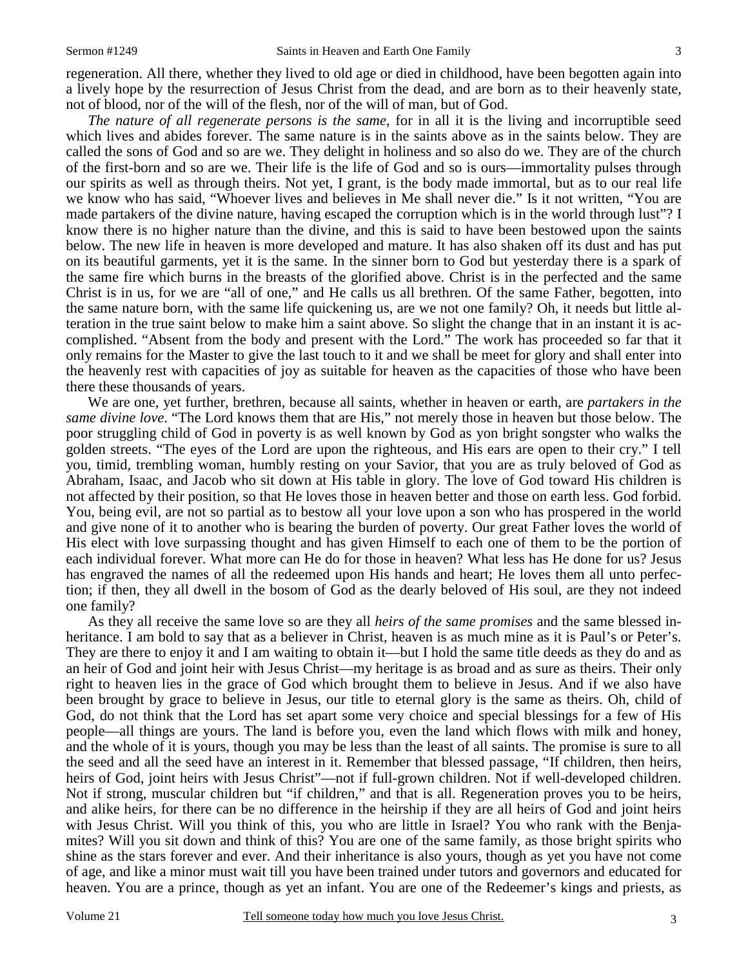regeneration. All there, whether they lived to old age or died in childhood, have been begotten again into a lively hope by the resurrection of Jesus Christ from the dead, and are born as to their heavenly state, not of blood, nor of the will of the flesh, nor of the will of man, but of God.

*The nature of all regenerate persons is the same*, for in all it is the living and incorruptible seed which lives and abides forever. The same nature is in the saints above as in the saints below. They are called the sons of God and so are we. They delight in holiness and so also do we. They are of the church of the first-born and so are we. Their life is the life of God and so is ours—immortality pulses through our spirits as well as through theirs. Not yet, I grant, is the body made immortal, but as to our real life we know who has said, "Whoever lives and believes in Me shall never die." Is it not written, "You are made partakers of the divine nature, having escaped the corruption which is in the world through lust"? I know there is no higher nature than the divine, and this is said to have been bestowed upon the saints below. The new life in heaven is more developed and mature. It has also shaken off its dust and has put on its beautiful garments, yet it is the same. In the sinner born to God but yesterday there is a spark of the same fire which burns in the breasts of the glorified above. Christ is in the perfected and the same Christ is in us, for we are "all of one," and He calls us all brethren. Of the same Father, begotten, into the same nature born, with the same life quickening us, are we not one family? Oh, it needs but little alteration in the true saint below to make him a saint above. So slight the change that in an instant it is accomplished. "Absent from the body and present with the Lord." The work has proceeded so far that it only remains for the Master to give the last touch to it and we shall be meet for glory and shall enter into the heavenly rest with capacities of joy as suitable for heaven as the capacities of those who have been there these thousands of years.

 We are one, yet further, brethren, because all saints, whether in heaven or earth, are *partakers in the same divine love*. "The Lord knows them that are His," not merely those in heaven but those below. The poor struggling child of God in poverty is as well known by God as yon bright songster who walks the golden streets. "The eyes of the Lord are upon the righteous, and His ears are open to their cry." I tell you, timid, trembling woman, humbly resting on your Savior, that you are as truly beloved of God as Abraham, Isaac, and Jacob who sit down at His table in glory. The love of God toward His children is not affected by their position, so that He loves those in heaven better and those on earth less. God forbid. You, being evil, are not so partial as to bestow all your love upon a son who has prospered in the world and give none of it to another who is bearing the burden of poverty. Our great Father loves the world of His elect with love surpassing thought and has given Himself to each one of them to be the portion of each individual forever. What more can He do for those in heaven? What less has He done for us? Jesus has engraved the names of all the redeemed upon His hands and heart; He loves them all unto perfection; if then, they all dwell in the bosom of God as the dearly beloved of His soul, are they not indeed one family?

 As they all receive the same love so are they all *heirs of the same promises* and the same blessed inheritance. I am bold to say that as a believer in Christ, heaven is as much mine as it is Paul's or Peter's. They are there to enjoy it and I am waiting to obtain it—but I hold the same title deeds as they do and as an heir of God and joint heir with Jesus Christ—my heritage is as broad and as sure as theirs. Their only right to heaven lies in the grace of God which brought them to believe in Jesus. And if we also have been brought by grace to believe in Jesus, our title to eternal glory is the same as theirs. Oh, child of God, do not think that the Lord has set apart some very choice and special blessings for a few of His people—all things are yours. The land is before you, even the land which flows with milk and honey, and the whole of it is yours, though you may be less than the least of all saints. The promise is sure to all the seed and all the seed have an interest in it. Remember that blessed passage, "If children, then heirs, heirs of God, joint heirs with Jesus Christ"—not if full-grown children. Not if well-developed children. Not if strong, muscular children but "if children," and that is all. Regeneration proves you to be heirs, and alike heirs, for there can be no difference in the heirship if they are all heirs of God and joint heirs with Jesus Christ. Will you think of this, you who are little in Israel? You who rank with the Benjamites? Will you sit down and think of this? You are one of the same family, as those bright spirits who shine as the stars forever and ever. And their inheritance is also yours, though as yet you have not come of age, and like a minor must wait till you have been trained under tutors and governors and educated for heaven. You are a prince, though as yet an infant. You are one of the Redeemer's kings and priests, as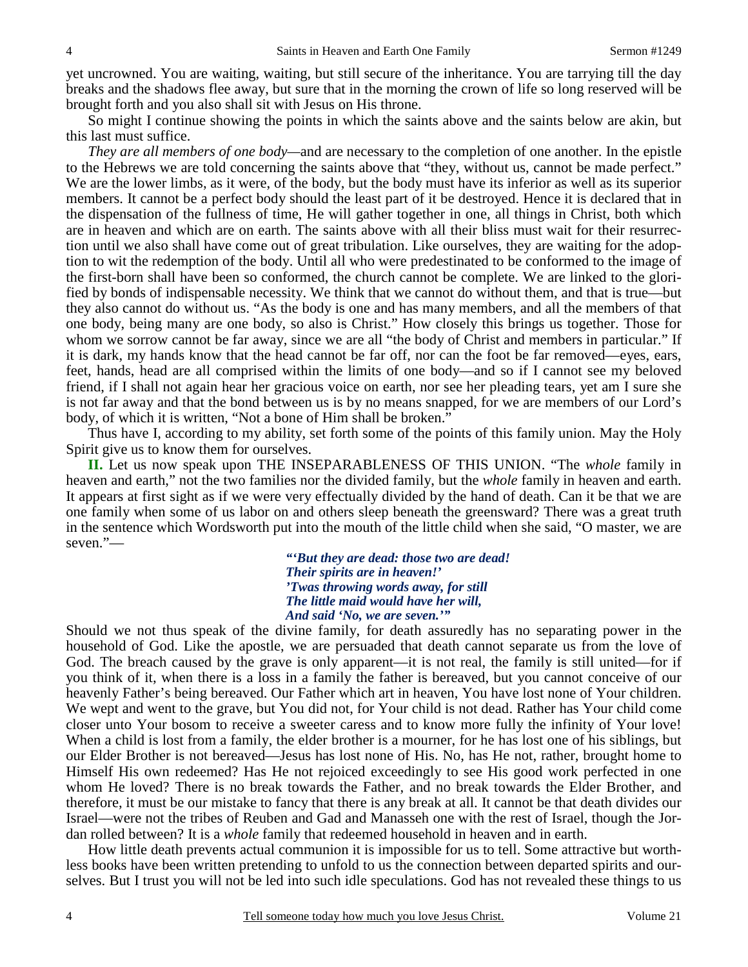yet uncrowned. You are waiting, waiting, but still secure of the inheritance. You are tarrying till the day breaks and the shadows flee away, but sure that in the morning the crown of life so long reserved will be brought forth and you also shall sit with Jesus on His throne.

 So might I continue showing the points in which the saints above and the saints below are akin, but this last must suffice.

*They are all members of one body—*and are necessary to the completion of one another. In the epistle to the Hebrews we are told concerning the saints above that "they, without us, cannot be made perfect." We are the lower limbs, as it were, of the body, but the body must have its inferior as well as its superior members. It cannot be a perfect body should the least part of it be destroyed. Hence it is declared that in the dispensation of the fullness of time, He will gather together in one, all things in Christ, both which are in heaven and which are on earth. The saints above with all their bliss must wait for their resurrection until we also shall have come out of great tribulation. Like ourselves, they are waiting for the adoption to wit the redemption of the body. Until all who were predestinated to be conformed to the image of the first-born shall have been so conformed, the church cannot be complete. We are linked to the glorified by bonds of indispensable necessity. We think that we cannot do without them, and that is true—but they also cannot do without us. "As the body is one and has many members, and all the members of that one body, being many are one body, so also is Christ." How closely this brings us together. Those for whom we sorrow cannot be far away, since we are all "the body of Christ and members in particular." If it is dark, my hands know that the head cannot be far off, nor can the foot be far removed—eyes, ears, feet, hands, head are all comprised within the limits of one body—and so if I cannot see my beloved friend, if I shall not again hear her gracious voice on earth, nor see her pleading tears, yet am I sure she is not far away and that the bond between us is by no means snapped, for we are members of our Lord's body, of which it is written, "Not a bone of Him shall be broken."

 Thus have I, according to my ability, set forth some of the points of this family union. May the Holy Spirit give us to know them for ourselves.

**II.** Let us now speak upon THE INSEPARABLENESS OF THIS UNION. "The *whole* family in heaven and earth," not the two families nor the divided family, but the *whole* family in heaven and earth. It appears at first sight as if we were very effectually divided by the hand of death. Can it be that we are one family when some of us labor on and others sleep beneath the greensward? There was a great truth in the sentence which Wordsworth put into the mouth of the little child when she said, "O master, we are seven."—

> *"'But they are dead: those two are dead! Their spirits are in heaven!' 'Twas throwing words away, for still The little maid would have her will, And said 'No, we are seven.'"*

Should we not thus speak of the divine family, for death assuredly has no separating power in the household of God. Like the apostle, we are persuaded that death cannot separate us from the love of God. The breach caused by the grave is only apparent—it is not real, the family is still united—for if you think of it, when there is a loss in a family the father is bereaved, but you cannot conceive of our heavenly Father's being bereaved. Our Father which art in heaven, You have lost none of Your children. We wept and went to the grave, but You did not, for Your child is not dead. Rather has Your child come closer unto Your bosom to receive a sweeter caress and to know more fully the infinity of Your love! When a child is lost from a family, the elder brother is a mourner, for he has lost one of his siblings, but our Elder Brother is not bereaved—Jesus has lost none of His. No, has He not, rather, brought home to Himself His own redeemed? Has He not rejoiced exceedingly to see His good work perfected in one whom He loved? There is no break towards the Father, and no break towards the Elder Brother, and therefore, it must be our mistake to fancy that there is any break at all. It cannot be that death divides our Israel—were not the tribes of Reuben and Gad and Manasseh one with the rest of Israel, though the Jordan rolled between? It is a *whole* family that redeemed household in heaven and in earth.

 How little death prevents actual communion it is impossible for us to tell. Some attractive but worthless books have been written pretending to unfold to us the connection between departed spirits and ourselves. But I trust you will not be led into such idle speculations. God has not revealed these things to us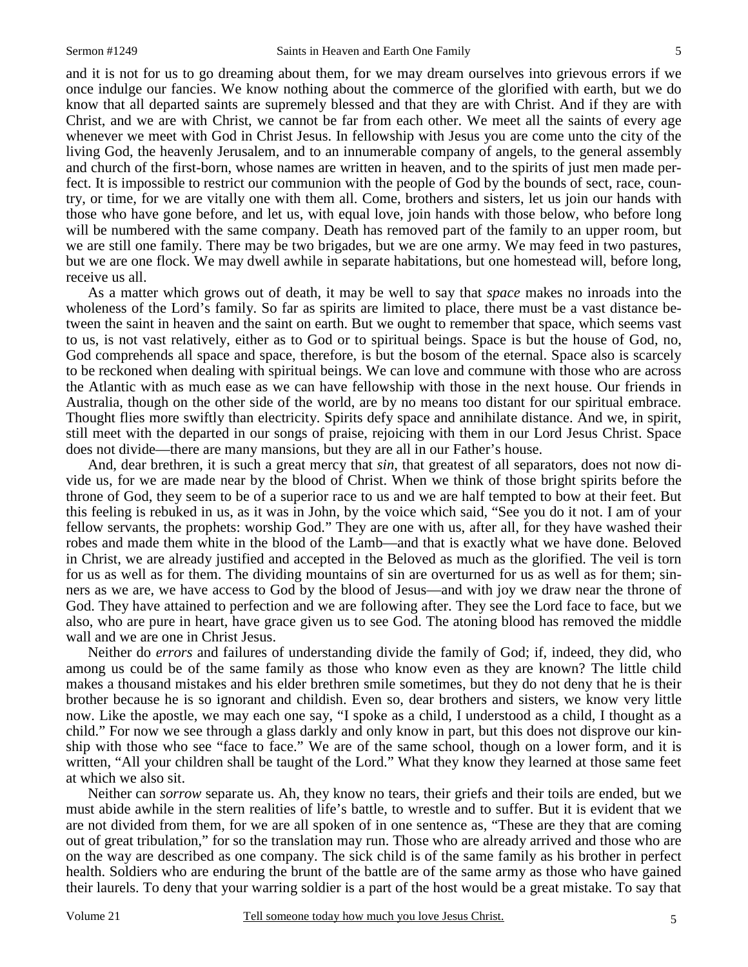and it is not for us to go dreaming about them, for we may dream ourselves into grievous errors if we once indulge our fancies. We know nothing about the commerce of the glorified with earth, but we do know that all departed saints are supremely blessed and that they are with Christ. And if they are with Christ, and we are with Christ, we cannot be far from each other. We meet all the saints of every age whenever we meet with God in Christ Jesus. In fellowship with Jesus you are come unto the city of the living God, the heavenly Jerusalem, and to an innumerable company of angels, to the general assembly and church of the first-born, whose names are written in heaven, and to the spirits of just men made perfect. It is impossible to restrict our communion with the people of God by the bounds of sect, race, country, or time, for we are vitally one with them all. Come, brothers and sisters, let us join our hands with those who have gone before, and let us, with equal love, join hands with those below, who before long will be numbered with the same company. Death has removed part of the family to an upper room, but we are still one family. There may be two brigades, but we are one army. We may feed in two pastures, but we are one flock. We may dwell awhile in separate habitations, but one homestead will, before long, receive us all.

 As a matter which grows out of death, it may be well to say that *space* makes no inroads into the wholeness of the Lord's family. So far as spirits are limited to place, there must be a vast distance between the saint in heaven and the saint on earth. But we ought to remember that space, which seems vast to us, is not vast relatively, either as to God or to spiritual beings. Space is but the house of God, no, God comprehends all space and space, therefore, is but the bosom of the eternal. Space also is scarcely to be reckoned when dealing with spiritual beings. We can love and commune with those who are across the Atlantic with as much ease as we can have fellowship with those in the next house. Our friends in Australia, though on the other side of the world, are by no means too distant for our spiritual embrace. Thought flies more swiftly than electricity. Spirits defy space and annihilate distance. And we, in spirit, still meet with the departed in our songs of praise, rejoicing with them in our Lord Jesus Christ. Space does not divide—there are many mansions, but they are all in our Father's house.

 And, dear brethren, it is such a great mercy that *sin*, that greatest of all separators, does not now divide us, for we are made near by the blood of Christ. When we think of those bright spirits before the throne of God, they seem to be of a superior race to us and we are half tempted to bow at their feet. But this feeling is rebuked in us, as it was in John, by the voice which said, "See you do it not. I am of your fellow servants, the prophets: worship God." They are one with us, after all, for they have washed their robes and made them white in the blood of the Lamb—and that is exactly what we have done. Beloved in Christ, we are already justified and accepted in the Beloved as much as the glorified. The veil is torn for us as well as for them. The dividing mountains of sin are overturned for us as well as for them; sinners as we are, we have access to God by the blood of Jesus—and with joy we draw near the throne of God. They have attained to perfection and we are following after. They see the Lord face to face, but we also, who are pure in heart, have grace given us to see God. The atoning blood has removed the middle wall and we are one in Christ Jesus.

 Neither do *errors* and failures of understanding divide the family of God; if, indeed, they did, who among us could be of the same family as those who know even as they are known? The little child makes a thousand mistakes and his elder brethren smile sometimes, but they do not deny that he is their brother because he is so ignorant and childish. Even so, dear brothers and sisters, we know very little now. Like the apostle, we may each one say, "I spoke as a child, I understood as a child, I thought as a child." For now we see through a glass darkly and only know in part, but this does not disprove our kinship with those who see "face to face." We are of the same school, though on a lower form, and it is written, "All your children shall be taught of the Lord." What they know they learned at those same feet at which we also sit.

 Neither can *sorrow* separate us. Ah, they know no tears, their griefs and their toils are ended, but we must abide awhile in the stern realities of life's battle, to wrestle and to suffer. But it is evident that we are not divided from them, for we are all spoken of in one sentence as, "These are they that are coming out of great tribulation," for so the translation may run. Those who are already arrived and those who are on the way are described as one company. The sick child is of the same family as his brother in perfect health. Soldiers who are enduring the brunt of the battle are of the same army as those who have gained their laurels. To deny that your warring soldier is a part of the host would be a great mistake. To say that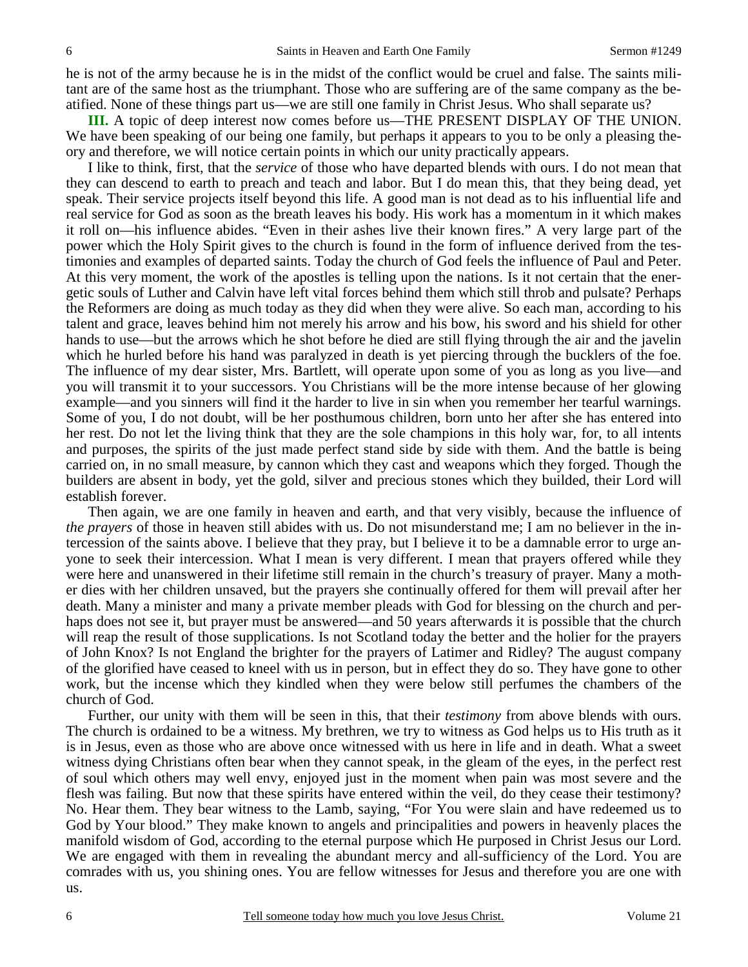he is not of the army because he is in the midst of the conflict would be cruel and false. The saints militant are of the same host as the triumphant. Those who are suffering are of the same company as the beatified. None of these things part us—we are still one family in Christ Jesus. Who shall separate us?

**III.** A topic of deep interest now comes before us—THE PRESENT DISPLAY OF THE UNION. We have been speaking of our being one family, but perhaps it appears to you to be only a pleasing theory and therefore, we will notice certain points in which our unity practically appears.

 I like to think, first, that the *service* of those who have departed blends with ours. I do not mean that they can descend to earth to preach and teach and labor. But I do mean this, that they being dead, yet speak. Their service projects itself beyond this life. A good man is not dead as to his influential life and real service for God as soon as the breath leaves his body. His work has a momentum in it which makes it roll on—his influence abides. "Even in their ashes live their known fires." A very large part of the power which the Holy Spirit gives to the church is found in the form of influence derived from the testimonies and examples of departed saints. Today the church of God feels the influence of Paul and Peter. At this very moment, the work of the apostles is telling upon the nations. Is it not certain that the energetic souls of Luther and Calvin have left vital forces behind them which still throb and pulsate? Perhaps the Reformers are doing as much today as they did when they were alive. So each man, according to his talent and grace, leaves behind him not merely his arrow and his bow, his sword and his shield for other hands to use—but the arrows which he shot before he died are still flying through the air and the javelin which he hurled before his hand was paralyzed in death is yet piercing through the bucklers of the foe. The influence of my dear sister, Mrs. Bartlett, will operate upon some of you as long as you live—and you will transmit it to your successors. You Christians will be the more intense because of her glowing example—and you sinners will find it the harder to live in sin when you remember her tearful warnings. Some of you, I do not doubt, will be her posthumous children, born unto her after she has entered into her rest. Do not let the living think that they are the sole champions in this holy war, for, to all intents and purposes, the spirits of the just made perfect stand side by side with them. And the battle is being carried on, in no small measure, by cannon which they cast and weapons which they forged. Though the builders are absent in body, yet the gold, silver and precious stones which they builded, their Lord will establish forever.

 Then again, we are one family in heaven and earth, and that very visibly, because the influence of *the prayers* of those in heaven still abides with us. Do not misunderstand me; I am no believer in the intercession of the saints above. I believe that they pray, but I believe it to be a damnable error to urge anyone to seek their intercession. What I mean is very different. I mean that prayers offered while they were here and unanswered in their lifetime still remain in the church's treasury of prayer. Many a mother dies with her children unsaved, but the prayers she continually offered for them will prevail after her death. Many a minister and many a private member pleads with God for blessing on the church and perhaps does not see it, but prayer must be answered—and 50 years afterwards it is possible that the church will reap the result of those supplications. Is not Scotland today the better and the holier for the prayers of John Knox? Is not England the brighter for the prayers of Latimer and Ridley? The august company of the glorified have ceased to kneel with us in person, but in effect they do so. They have gone to other work, but the incense which they kindled when they were below still perfumes the chambers of the church of God.

 Further, our unity with them will be seen in this, that their *testimony* from above blends with ours. The church is ordained to be a witness. My brethren, we try to witness as God helps us to His truth as it is in Jesus, even as those who are above once witnessed with us here in life and in death. What a sweet witness dying Christians often bear when they cannot speak, in the gleam of the eyes, in the perfect rest of soul which others may well envy, enjoyed just in the moment when pain was most severe and the flesh was failing. But now that these spirits have entered within the veil, do they cease their testimony? No. Hear them. They bear witness to the Lamb, saying, "For You were slain and have redeemed us to God by Your blood." They make known to angels and principalities and powers in heavenly places the manifold wisdom of God, according to the eternal purpose which He purposed in Christ Jesus our Lord. We are engaged with them in revealing the abundant mercy and all-sufficiency of the Lord. You are comrades with us, you shining ones. You are fellow witnesses for Jesus and therefore you are one with us.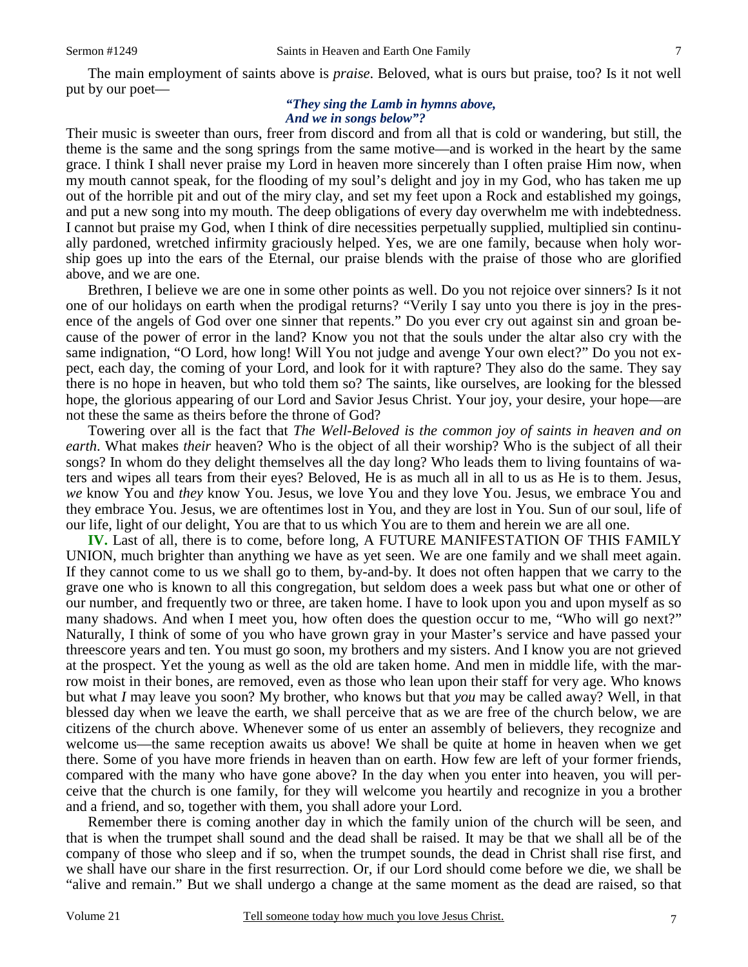The main employment of saints above is *praise*. Beloved, what is ours but praise, too? Is it not well put by our poet—

#### *"They sing the Lamb in hymns above, And we in songs below"?*

Their music is sweeter than ours, freer from discord and from all that is cold or wandering, but still, the theme is the same and the song springs from the same motive—and is worked in the heart by the same grace. I think I shall never praise my Lord in heaven more sincerely than I often praise Him now, when my mouth cannot speak, for the flooding of my soul's delight and joy in my God, who has taken me up out of the horrible pit and out of the miry clay, and set my feet upon a Rock and established my goings, and put a new song into my mouth. The deep obligations of every day overwhelm me with indebtedness. I cannot but praise my God, when I think of dire necessities perpetually supplied, multiplied sin continually pardoned, wretched infirmity graciously helped. Yes, we are one family, because when holy worship goes up into the ears of the Eternal, our praise blends with the praise of those who are glorified above, and we are one.

 Brethren, I believe we are one in some other points as well. Do you not rejoice over sinners? Is it not one of our holidays on earth when the prodigal returns? "Verily I say unto you there is joy in the presence of the angels of God over one sinner that repents." Do you ever cry out against sin and groan because of the power of error in the land? Know you not that the souls under the altar also cry with the same indignation, "O Lord, how long! Will You not judge and avenge Your own elect?" Do you not expect, each day, the coming of your Lord, and look for it with rapture? They also do the same. They say there is no hope in heaven, but who told them so? The saints, like ourselves, are looking for the blessed hope, the glorious appearing of our Lord and Savior Jesus Christ. Your joy, your desire, your hope—are not these the same as theirs before the throne of God?

 Towering over all is the fact that *The Well-Beloved is the common joy of saints in heaven and on earth*. What makes *their* heaven? Who is the object of all their worship? Who is the subject of all their songs? In whom do they delight themselves all the day long? Who leads them to living fountains of waters and wipes all tears from their eyes? Beloved, He is as much all in all to us as He is to them. Jesus, *we* know You and *they* know You. Jesus, we love You and they love You. Jesus, we embrace You and they embrace You. Jesus, we are oftentimes lost in You, and they are lost in You. Sun of our soul, life of our life, light of our delight, You are that to us which You are to them and herein we are all one.

**IV.** Last of all, there is to come, before long, A FUTURE MANIFESTATION OF THIS FAMILY UNION, much brighter than anything we have as yet seen. We are one family and we shall meet again. If they cannot come to us we shall go to them, by-and-by. It does not often happen that we carry to the grave one who is known to all this congregation, but seldom does a week pass but what one or other of our number, and frequently two or three, are taken home. I have to look upon you and upon myself as so many shadows. And when I meet you, how often does the question occur to me, "Who will go next?" Naturally, I think of some of you who have grown gray in your Master's service and have passed your threescore years and ten. You must go soon, my brothers and my sisters. And I know you are not grieved at the prospect. Yet the young as well as the old are taken home. And men in middle life, with the marrow moist in their bones, are removed, even as those who lean upon their staff for very age. Who knows but what *I* may leave you soon? My brother, who knows but that *you* may be called away? Well, in that blessed day when we leave the earth, we shall perceive that as we are free of the church below, we are citizens of the church above. Whenever some of us enter an assembly of believers, they recognize and welcome us—the same reception awaits us above! We shall be quite at home in heaven when we get there. Some of you have more friends in heaven than on earth. How few are left of your former friends, compared with the many who have gone above? In the day when you enter into heaven, you will perceive that the church is one family, for they will welcome you heartily and recognize in you a brother and a friend, and so, together with them, you shall adore your Lord.

 Remember there is coming another day in which the family union of the church will be seen, and that is when the trumpet shall sound and the dead shall be raised. It may be that we shall all be of the company of those who sleep and if so, when the trumpet sounds, the dead in Christ shall rise first, and we shall have our share in the first resurrection. Or, if our Lord should come before we die, we shall be "alive and remain." But we shall undergo a change at the same moment as the dead are raised, so that